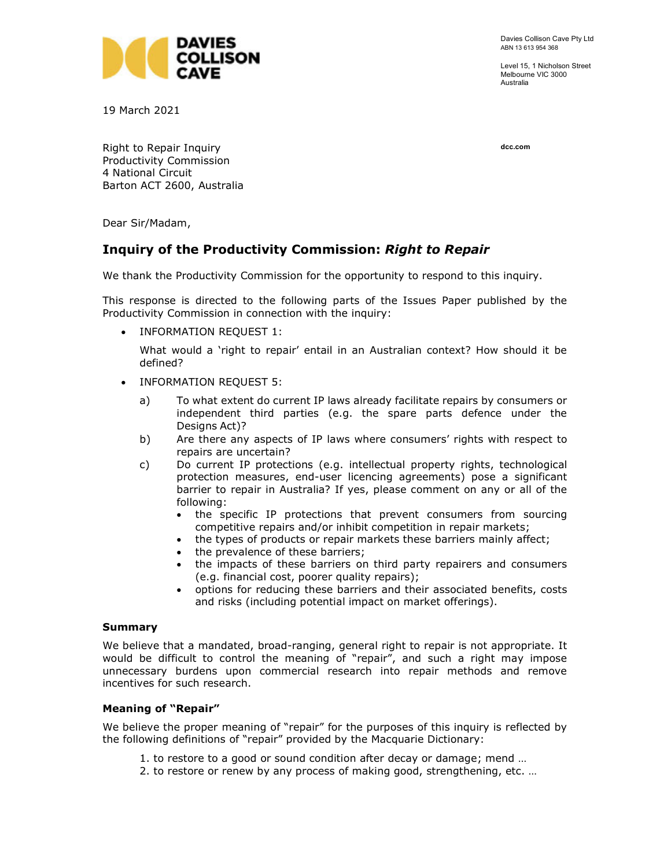

Davies Collison Cave Pty Ltd ABN 13 613 954 368

Level 15, 1 Nicholson Street Melbourne VIC 3000 Australia

19 March 2021

dcc.com

Right to Repair Inquiry Productivity Commission 4 National Circuit Barton ACT 2600, Australia

Dear Sir/Madam,

# Inquiry of the Productivity Commission: Right to Repair

We thank the Productivity Commission for the opportunity to respond to this inquiry.

This response is directed to the following parts of the Issues Paper published by the Productivity Commission in connection with the inquiry:

• INFORMATION REQUEST 1:

What would a 'right to repair' entail in an Australian context? How should it be defined?

- INFORMATION REQUEST 5:
	- a) To what extent do current IP laws already facilitate repairs by consumers or independent third parties (e.g. the spare parts defence under the Designs Act)?
	- b) Are there any aspects of IP laws where consumers' rights with respect to repairs are uncertain?
	- c) Do current IP protections (e.g. intellectual property rights, technological protection measures, end-user licencing agreements) pose a significant barrier to repair in Australia? If yes, please comment on any or all of the following:
		- the specific IP protections that prevent consumers from sourcing competitive repairs and/or inhibit competition in repair markets;
		- the types of products or repair markets these barriers mainly affect;
		- the prevalence of these barriers;
		- the impacts of these barriers on third party repairers and consumers (e.g. financial cost, poorer quality repairs);
		- options for reducing these barriers and their associated benefits, costs and risks (including potential impact on market offerings).

#### Summary

We believe that a mandated, broad-ranging, general right to repair is not appropriate. It would be difficult to control the meaning of "repair", and such a right may impose unnecessary burdens upon commercial research into repair methods and remove incentives for such research.

## Meaning of "Repair"

We believe the proper meaning of "repair" for the purposes of this inquiry is reflected by the following definitions of "repair" provided by the Macquarie Dictionary:

- 1. to restore to a good or sound condition after decay or damage; mend …
- 2. to restore or renew by any process of making good, strengthening, etc. …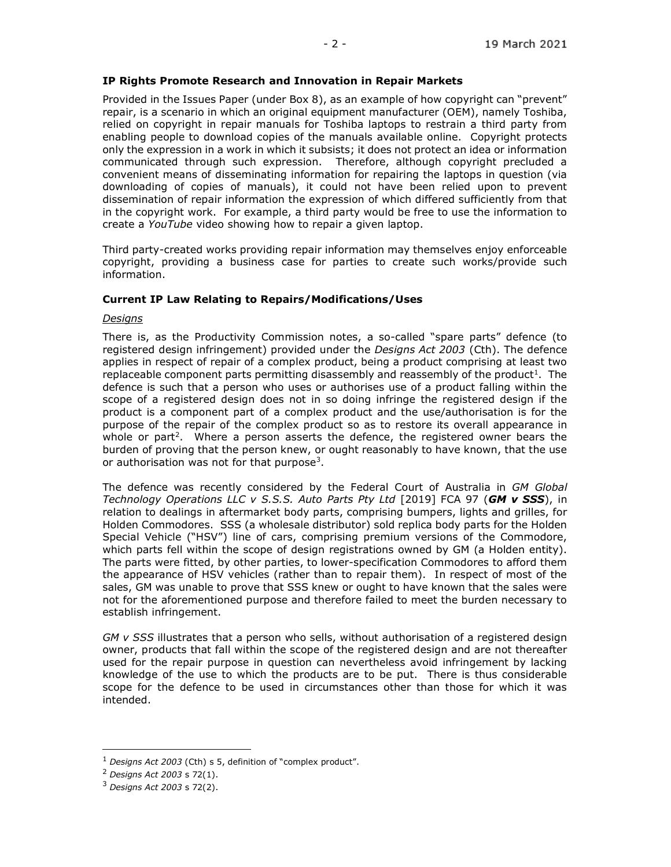## IP Rights Promote Research and Innovation in Repair Markets

Provided in the Issues Paper (under Box 8), as an example of how copyright can "prevent" repair, is a scenario in which an original equipment manufacturer (OEM), namely Toshiba, relied on copyright in repair manuals for Toshiba laptops to restrain a third party from enabling people to download copies of the manuals available online. Copyright protects only the expression in a work in which it subsists; it does not protect an idea or information communicated through such expression. Therefore, although copyright precluded a convenient means of disseminating information for repairing the laptops in question (via downloading of copies of manuals), it could not have been relied upon to prevent dissemination of repair information the expression of which differed sufficiently from that in the copyright work. For example, a third party would be free to use the information to create a YouTube video showing how to repair a given laptop.

Third party-created works providing repair information may themselves enjoy enforceable copyright, providing a business case for parties to create such works/provide such information.

#### Current IP Law Relating to Repairs/Modifications/Uses

#### **Designs**

There is, as the Productivity Commission notes, a so-called "spare parts" defence (to registered design infringement) provided under the Designs Act 2003 (Cth). The defence applies in respect of repair of a complex product, being a product comprising at least two replaceable component parts permitting disassembly and reassembly of the product<sup>1</sup>. The defence is such that a person who uses or authorises use of a product falling within the scope of a registered design does not in so doing infringe the registered design if the product is a component part of a complex product and the use/authorisation is for the purpose of the repair of the complex product so as to restore its overall appearance in whole or part<sup>2</sup>. Where a person asserts the defence, the registered owner bears the burden of proving that the person knew, or ought reasonably to have known, that the use or authorisation was not for that purpose<sup>3</sup>.

The defence was recently considered by the Federal Court of Australia in GM Global Technology Operations LLC v S.S.S. Auto Parts Pty Ltd  $[2019]$  FCA 97 (GM v SSS), in relation to dealings in aftermarket body parts, comprising bumpers, lights and grilles, for Holden Commodores. SSS (a wholesale distributor) sold replica body parts for the Holden Special Vehicle ("HSV") line of cars, comprising premium versions of the Commodore, which parts fell within the scope of design registrations owned by GM (a Holden entity). The parts were fitted, by other parties, to lower-specification Commodores to afford them the appearance of HSV vehicles (rather than to repair them). In respect of most of the sales, GM was unable to prove that SSS knew or ought to have known that the sales were not for the aforementioned purpose and therefore failed to meet the burden necessary to establish infringement.

 $GM$  v SSS illustrates that a person who sells, without authorisation of a registered design owner, products that fall within the scope of the registered design and are not thereafter used for the repair purpose in question can nevertheless avoid infringement by lacking knowledge of the use to which the products are to be put. There is thus considerable scope for the defence to be used in circumstances other than those for which it was intended.

-

 $1$  Designs Act 2003 (Cth) s 5, definition of "complex product".

<sup>2</sup> Designs Act 2003 s 72(1).

 $3$  Designs Act 2003 s 72(2).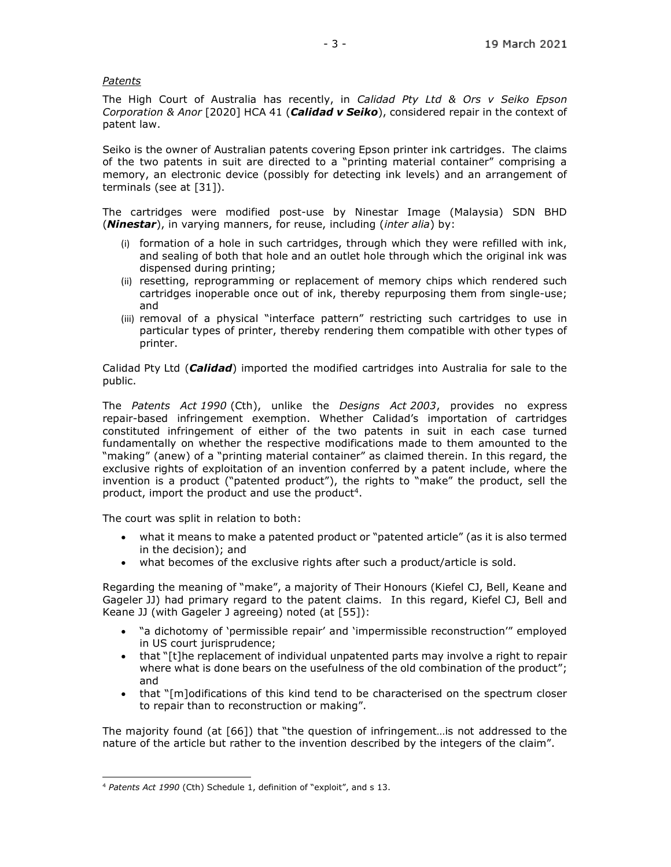## Patents

The High Court of Australia has recently, in Calidad Pty Ltd & Ors v Seiko Epson Corporation & Anor [2020] HCA 41 (Calidad v Seiko), considered repair in the context of patent law.

Seiko is the owner of Australian patents covering Epson printer ink cartridges. The claims of the two patents in suit are directed to a "printing material container" comprising a memory, an electronic device (possibly for detecting ink levels) and an arrangement of terminals (see at [31]).

The cartridges were modified post-use by Ninestar Image (Malaysia) SDN BHD (**Ninestar**), in varying manners, for reuse, including (*inter alia*) by:

- (i) formation of a hole in such cartridges, through which they were refilled with ink, and sealing of both that hole and an outlet hole through which the original ink was dispensed during printing;
- (ii) resetting, reprogramming or replacement of memory chips which rendered such cartridges inoperable once out of ink, thereby repurposing them from single-use; and
- (iii) removal of a physical "interface pattern" restricting such cartridges to use in particular types of printer, thereby rendering them compatible with other types of printer.

Calidad Pty Ltd (Calidad) imported the modified cartridges into Australia for sale to the public.

The Patents Act 1990 (Cth), unlike the Designs Act 2003, provides no express repair-based infringement exemption. Whether Calidad's importation of cartridges constituted infringement of either of the two patents in suit in each case turned fundamentally on whether the respective modifications made to them amounted to the "making" (anew) of a "printing material container" as claimed therein. In this regard, the exclusive rights of exploitation of an invention conferred by a patent include, where the invention is a product ("patented product"), the rights to "make" the product, sell the product, import the product and use the product<sup>4</sup>.

The court was split in relation to both:

- what it means to make a patented product or "patented article" (as it is also termed in the decision); and
- what becomes of the exclusive rights after such a product/article is sold.

Regarding the meaning of "make", a majority of Their Honours (Kiefel CJ, Bell, Keane and Gageler JJ) had primary regard to the patent claims. In this regard, Kiefel CJ, Bell and Keane JJ (with Gageler J agreeing) noted (at [55]):

- "a dichotomy of 'permissible repair' and 'impermissible reconstruction'" employed in US court jurisprudence;
- that "[t]he replacement of individual unpatented parts may involve a right to repair where what is done bears on the usefulness of the old combination of the product"; and
- that "[m]odifications of this kind tend to be characterised on the spectrum closer to repair than to reconstruction or making".

The majority found (at [66]) that "the question of infringement…is not addressed to the nature of the article but rather to the invention described by the integers of the claim".

<sup>4</sup> Patents Act 1990 (Cth) Schedule 1, definition of "exploit", and s 13.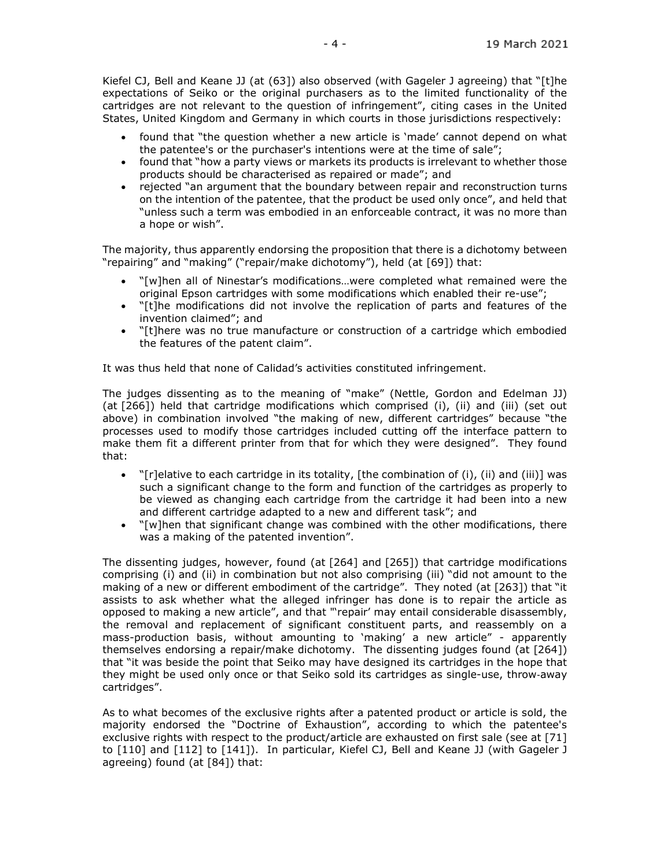Kiefel CJ, Bell and Keane JJ (at (63]) also observed (with Gageler J agreeing) that "[t]he expectations of Seiko or the original purchasers as to the limited functionality of the cartridges are not relevant to the question of infringement", citing cases in the United States, United Kingdom and Germany in which courts in those jurisdictions respectively:

- found that "the question whether a new article is 'made' cannot depend on what the patentee's or the purchaser's intentions were at the time of sale";
- found that "how a party views or markets its products is irrelevant to whether those products should be characterised as repaired or made"; and
- rejected "an argument that the boundary between repair and reconstruction turns on the intention of the patentee, that the product be used only once", and held that "unless such a term was embodied in an enforceable contract, it was no more than a hope or wish".

The majority, thus apparently endorsing the proposition that there is a dichotomy between "repairing" and "making" ("repair/make dichotomy"), held (at [69]) that:

- "[w]hen all of Ninestar's modifications…were completed what remained were the original Epson cartridges with some modifications which enabled their re-use";
- "[t]he modifications did not involve the replication of parts and features of the invention claimed"; and
- "[t]here was no true manufacture or construction of a cartridge which embodied the features of the patent claim".

It was thus held that none of Calidad's activities constituted infringement.

The judges dissenting as to the meaning of "make" (Nettle, Gordon and Edelman JJ) (at [266]) held that cartridge modifications which comprised (i), (ii) and (iii) (set out above) in combination involved "the making of new, different cartridges" because "the processes used to modify those cartridges included cutting off the interface pattern to make them fit a different printer from that for which they were designed". They found that:

- "[r]elative to each cartridge in its totality, [the combination of (i), (ii) and (iii)] was such a significant change to the form and function of the cartridges as properly to be viewed as changing each cartridge from the cartridge it had been into a new and different cartridge adapted to a new and different task"; and
- "[w]hen that significant change was combined with the other modifications, there was a making of the patented invention".

The dissenting judges, however, found (at [264] and [265]) that cartridge modifications comprising (i) and (ii) in combination but not also comprising (iii) "did not amount to the making of a new or different embodiment of the cartridge". They noted (at [263]) that "it assists to ask whether what the alleged infringer has done is to repair the article as opposed to making a new article", and that "'repair' may entail considerable disassembly, the removal and replacement of significant constituent parts, and reassembly on a mass-production basis, without amounting to 'making' a new article" - apparently themselves endorsing a repair/make dichotomy. The dissenting judges found (at [264]) that "it was beside the point that Seiko may have designed its cartridges in the hope that they might be used only once or that Seiko sold its cartridges as single-use, throw-away cartridges".

As to what becomes of the exclusive rights after a patented product or article is sold, the majority endorsed the "Doctrine of Exhaustion", according to which the patentee's exclusive rights with respect to the product/article are exhausted on first sale (see at [71] to [110] and [112] to [141]). In particular, Kiefel CJ, Bell and Keane JJ (with Gageler J agreeing) found (at [84]) that: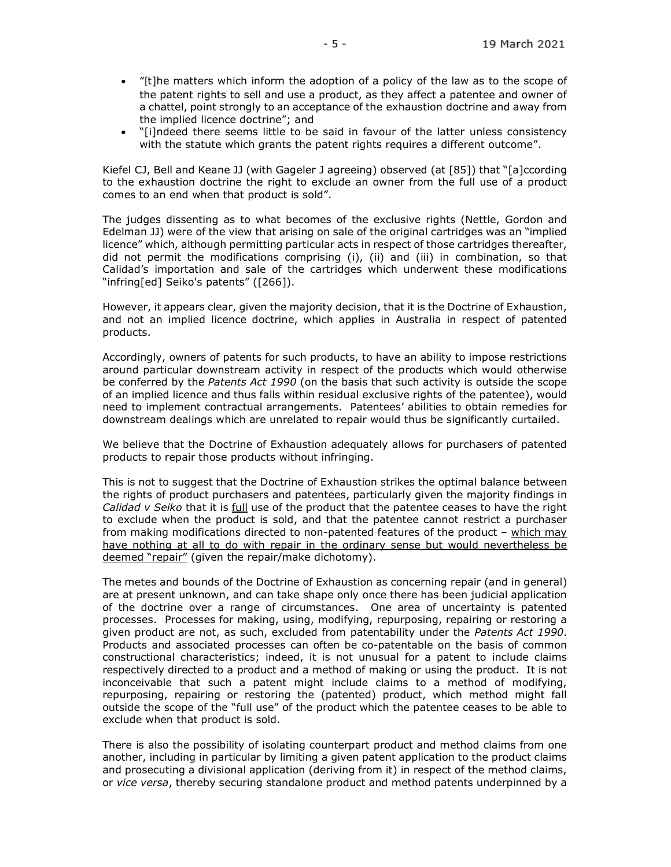- "[t]he matters which inform the adoption of a policy of the law as to the scope of the patent rights to sell and use a product, as they affect a patentee and owner of a chattel, point strongly to an acceptance of the exhaustion doctrine and away from the implied licence doctrine"; and
- "[i]ndeed there seems little to be said in favour of the latter unless consistency with the statute which grants the patent rights requires a different outcome".

Kiefel CJ, Bell and Keane JJ (with Gageler J agreeing) observed (at [85]) that "[a]ccording to the exhaustion doctrine the right to exclude an owner from the full use of a product comes to an end when that product is sold".

The judges dissenting as to what becomes of the exclusive rights (Nettle, Gordon and Edelman JJ) were of the view that arising on sale of the original cartridges was an "implied licence" which, although permitting particular acts in respect of those cartridges thereafter, did not permit the modifications comprising (i), (ii) and (iii) in combination, so that Calidad's importation and sale of the cartridges which underwent these modifications "infring[ed] Seiko's patents" ([266]).

However, it appears clear, given the majority decision, that it is the Doctrine of Exhaustion, and not an implied licence doctrine, which applies in Australia in respect of patented products.

Accordingly, owners of patents for such products, to have an ability to impose restrictions around particular downstream activity in respect of the products which would otherwise be conferred by the Patents Act 1990 (on the basis that such activity is outside the scope of an implied licence and thus falls within residual exclusive rights of the patentee), would need to implement contractual arrangements. Patentees' abilities to obtain remedies for downstream dealings which are unrelated to repair would thus be significantly curtailed.

We believe that the Doctrine of Exhaustion adequately allows for purchasers of patented products to repair those products without infringing.

This is not to suggest that the Doctrine of Exhaustion strikes the optimal balance between the rights of product purchasers and patentees, particularly given the majority findings in Calidad v Seiko that it is full use of the product that the patentee ceases to have the right to exclude when the product is sold, and that the patentee cannot restrict a purchaser from making modifications directed to non-patented features of the product – which may have nothing at all to do with repair in the ordinary sense but would nevertheless be deemed "repair" (given the repair/make dichotomy).

The metes and bounds of the Doctrine of Exhaustion as concerning repair (and in general) are at present unknown, and can take shape only once there has been judicial application of the doctrine over a range of circumstances. One area of uncertainty is patented processes. Processes for making, using, modifying, repurposing, repairing or restoring a given product are not, as such, excluded from patentability under the Patents Act 1990. Products and associated processes can often be co-patentable on the basis of common constructional characteristics; indeed, it is not unusual for a patent to include claims respectively directed to a product and a method of making or using the product. It is not inconceivable that such a patent might include claims to a method of modifying, repurposing, repairing or restoring the (patented) product, which method might fall outside the scope of the "full use" of the product which the patentee ceases to be able to exclude when that product is sold.

There is also the possibility of isolating counterpart product and method claims from one another, including in particular by limiting a given patent application to the product claims and prosecuting a divisional application (deriving from it) in respect of the method claims, or vice versa, thereby securing standalone product and method patents underpinned by a